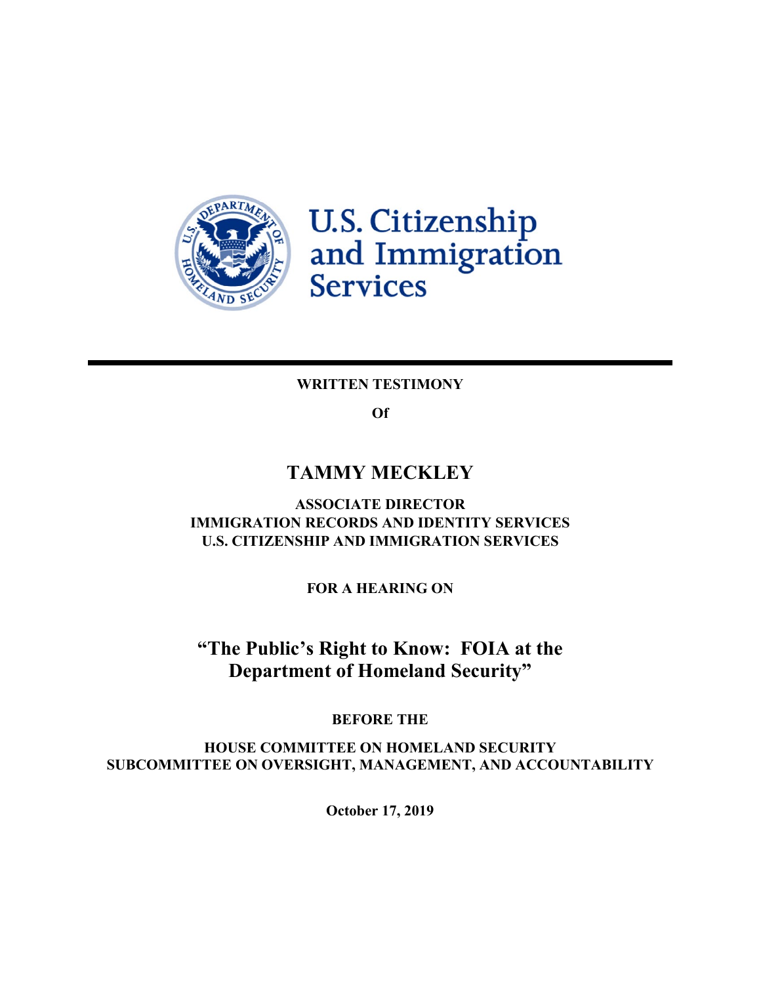

U.S. Citizenship<br>and Immigration<br>Services

## **WRITTEN TESTIMONY**

**Of**

# **TAMMY MECKLEY**

## **ASSOCIATE DIRECTOR IMMIGRATION RECORDS AND IDENTITY SERVICES U.S. CITIZENSHIP AND IMMIGRATION SERVICES**

**FOR A HEARING ON**

**"The Public's Right to Know: FOIA at the Department of Homeland Security"**

**BEFORE THE**

**HOUSE COMMITTEE ON HOMELAND SECURITY SUBCOMMITTEE ON OVERSIGHT, MANAGEMENT, AND ACCOUNTABILITY**

**October 17, 2019**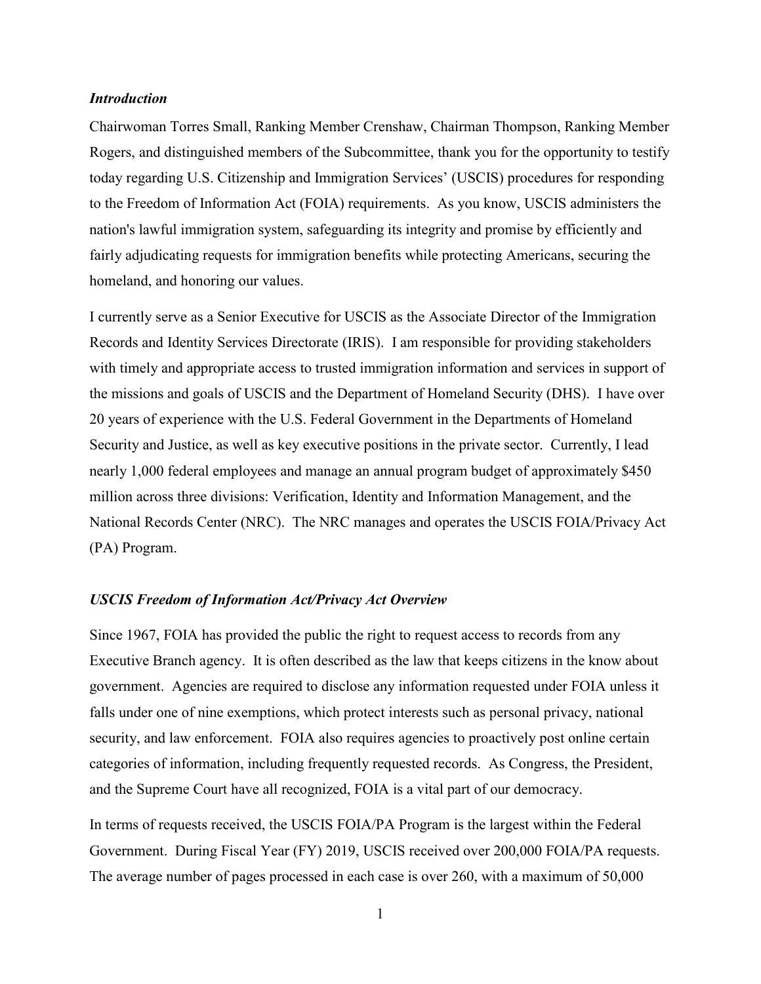### *Introduction*

Chairwoman Torres Small, Ranking Member Crenshaw, Chairman Thompson, Ranking Member Rogers, and distinguished members of the Subcommittee, thank you for the opportunity to testify today regarding U.S. Citizenship and Immigration Services' (USCIS) procedures for responding to the Freedom of Information Act (FOIA) requirements. As you know, USCIS administers the nation's lawful immigration system, safeguarding its integrity and promise by efficiently and fairly adjudicating requests for immigration benefits while protecting Americans, securing the homeland, and honoring our values.

I currently serve as a Senior Executive for USCIS as the Associate Director of the Immigration Records and Identity Services Directorate (IRIS). I am responsible for providing stakeholders with timely and appropriate access to trusted immigration information and services in support of the missions and goals of USCIS and the Department of Homeland Security (DHS). I have over 20 years of experience with the U.S. Federal Government in the Departments of Homeland Security and Justice, as well as key executive positions in the private sector. Currently, I lead nearly 1,000 federal employees and manage an annual program budget of approximately \$450 million across three divisions: Verification, Identity and Information Management, and the National Records Center (NRC). The NRC manages and operates the USCIS FOIA/Privacy Act (PA) Program.

#### *USCIS Freedom of Information Act/Privacy Act Overview*

Since 1967, FOIA has provided the public the right to request access to records from any Executive Branch agency. It is often described as the law that keeps citizens in the know about government. Agencies are required to disclose any information requested under FOIA unless it falls under one of nine exemptions, which protect interests such as personal privacy, national security, and law enforcement. FOIA also requires agencies to proactively post online certain categories of information, including frequently requested records. As Congress, the President, and the Supreme Court have all recognized, FOIA is a vital part of our democracy.

In terms of requests received, the USCIS FOIA/PA Program is the largest within the Federal Government. During Fiscal Year (FY) 2019, USCIS received over 200,000 FOIA/PA requests. The average number of pages processed in each case is over 260, with a maximum of 50,000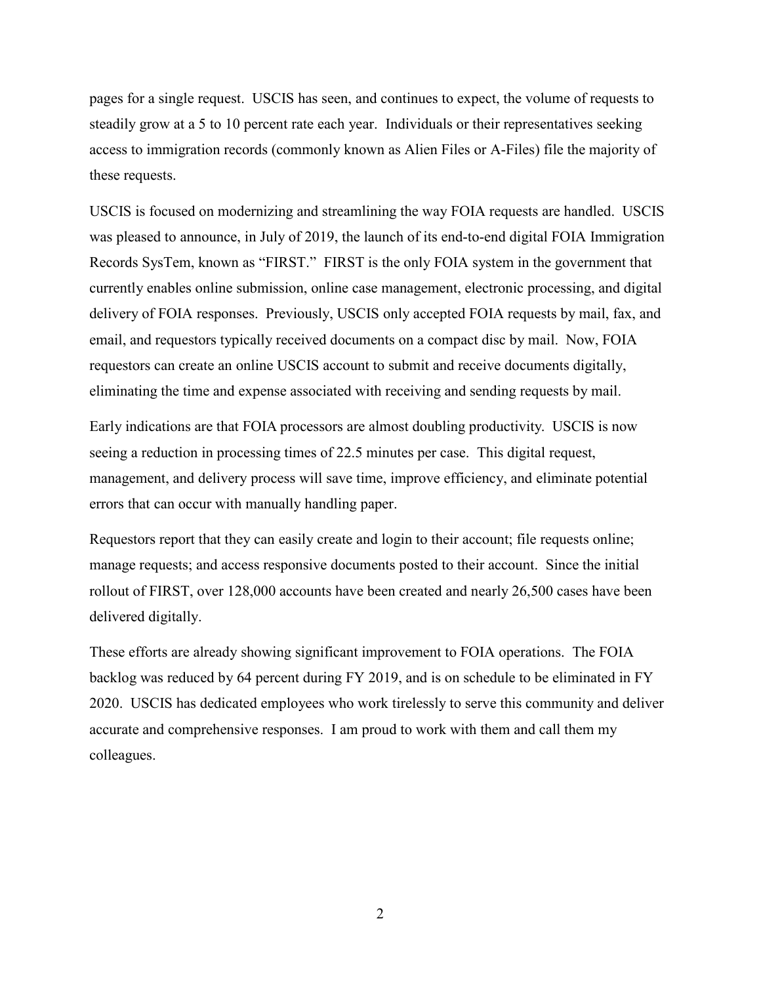pages for a single request. USCIS has seen, and continues to expect, the volume of requests to steadily grow at a 5 to 10 percent rate each year. Individuals or their representatives seeking access to immigration records (commonly known as Alien Files or A-Files) file the majority of these requests.

USCIS is focused on modernizing and streamlining the way FOIA requests are handled. USCIS was pleased to announce, in July of 2019, the launch of its end-to-end digital FOIA Immigration Records SysTem, known as "FIRST." FIRST is the only FOIA system in the government that currently enables online submission, online case management, electronic processing, and digital delivery of FOIA responses. Previously, USCIS only accepted FOIA requests by mail, fax, and email, and requestors typically received documents on a compact disc by mail. Now, FOIA requestors can create an online USCIS account to submit and receive documents digitally, eliminating the time and expense associated with receiving and sending requests by mail.

Early indications are that FOIA processors are almost doubling productivity. USCIS is now seeing a reduction in processing times of 22.5 minutes per case. This digital request, management, and delivery process will save time, improve efficiency, and eliminate potential errors that can occur with manually handling paper.

Requestors report that they can easily create and login to their account; file requests online; manage requests; and access responsive documents posted to their account. Since the initial rollout of FIRST, over 128,000 accounts have been created and nearly 26,500 cases have been delivered digitally.

These efforts are already showing significant improvement to FOIA operations. The FOIA backlog was reduced by 64 percent during FY 2019, and is on schedule to be eliminated in FY 2020. USCIS has dedicated employees who work tirelessly to serve this community and deliver accurate and comprehensive responses. I am proud to work with them and call them my colleagues.

2